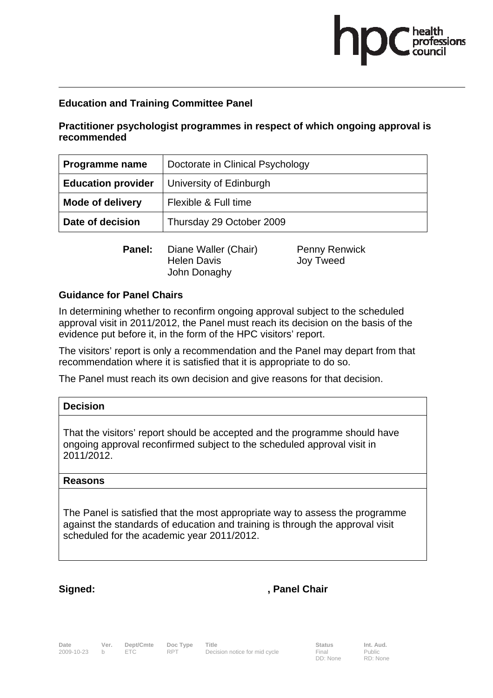## **Education and Training Committee Panel**

**Practitioner psychologist programmes in respect of which ongoing approval is recommended** 

| <b>Programme name</b>     | Doctorate in Clinical Psychology |  |
|---------------------------|----------------------------------|--|
| <b>Education provider</b> | University of Edinburgh          |  |
| <b>Mode of delivery</b>   | Flexible & Full time             |  |
| Date of decision          | Thursday 29 October 2009         |  |

**Panel:** Diane Waller (Chair) Penny Renwick Helen Davis Joy Tweed John Donaghy

### **Guidance for Panel Chairs**

In determining whether to reconfirm ongoing approval subject to the scheduled approval visit in 2011/2012, the Panel must reach its decision on the basis of the evidence put before it, in the form of the HPC visitors' report.

The visitors' report is only a recommendation and the Panel may depart from that recommendation where it is satisfied that it is appropriate to do so.

The Panel must reach its own decision and give reasons for that decision.

| <b>Decision</b>                                                                                                                                       |
|-------------------------------------------------------------------------------------------------------------------------------------------------------|
| That the visitors' report should be accepted and the programme should have<br>ongoing approval reconfirmed subject to the scheduled approval visit in |

**Reasons** 

2011/2012.

The Panel is satisfied that the most appropriate way to assess the programme against the standards of education and training is through the approval visit scheduled for the academic year 2011/2012.

## Signed: **Signed:** , Panel Chair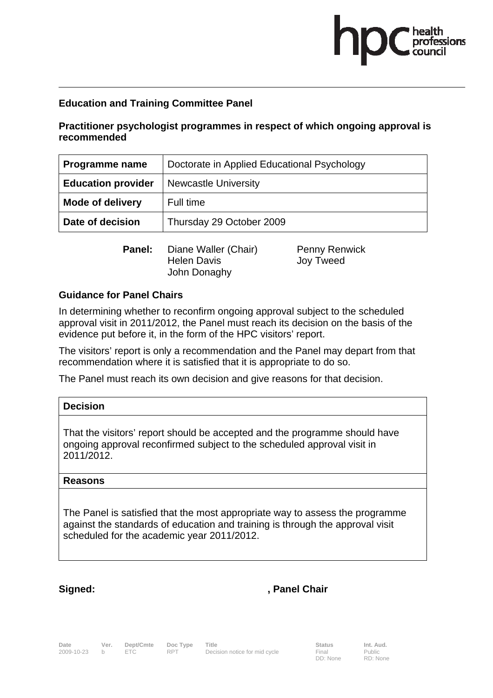# **Education and Training Committee Panel**

**Practitioner psychologist programmes in respect of which ongoing approval is recommended** 

| Programme name            | Doctorate in Applied Educational Psychology |  |
|---------------------------|---------------------------------------------|--|
| <b>Education provider</b> | <b>Newcastle University</b>                 |  |
| <b>Mode of delivery</b>   | Full time                                   |  |
| Date of decision          | Thursday 29 October 2009                    |  |

**Panel:** Diane Waller (Chair) Penny Renwick Helen Davis Joy Tweed John Donaghy

### **Guidance for Panel Chairs**

In determining whether to reconfirm ongoing approval subject to the scheduled approval visit in 2011/2012, the Panel must reach its decision on the basis of the evidence put before it, in the form of the HPC visitors' report.

The visitors' report is only a recommendation and the Panel may depart from that recommendation where it is satisfied that it is appropriate to do so.

The Panel must reach its own decision and give reasons for that decision.

| <b>Decision</b>                                                                                                                                       |
|-------------------------------------------------------------------------------------------------------------------------------------------------------|
| That the visitors' report should be accepted and the programme should have<br>ongoing approval reconfirmed subject to the scheduled approval visit in |

**Reasons** 

2011/2012.

The Panel is satisfied that the most appropriate way to assess the programme against the standards of education and training is through the approval visit scheduled for the academic year 2011/2012.

## Signed: **Signed:** , Panel Chair

**Date Ver. Dept/Cmte Doc Type Title Community Communist Status Int. Aud.**<br>1909-10-23 b ETC RPT Decision notice for mid cycle Final Public Decision notice for mid cycle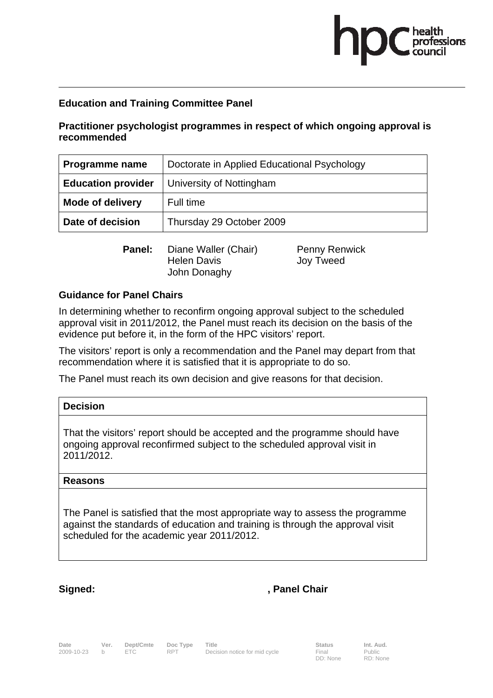# **Education and Training Committee Panel**

**Practitioner psychologist programmes in respect of which ongoing approval is recommended** 

| Programme name            | Doctorate in Applied Educational Psychology |  |
|---------------------------|---------------------------------------------|--|
| <b>Education provider</b> | University of Nottingham                    |  |
| <b>Mode of delivery</b>   | Full time                                   |  |
| Date of decision          | Thursday 29 October 2009                    |  |

**Panel:** Diane Waller (Chair) Penny Renwick Helen Davis Joy Tweed John Donaghy

### **Guidance for Panel Chairs**

In determining whether to reconfirm ongoing approval subject to the scheduled approval visit in 2011/2012, the Panel must reach its decision on the basis of the evidence put before it, in the form of the HPC visitors' report.

The visitors' report is only a recommendation and the Panel may depart from that recommendation where it is satisfied that it is appropriate to do so.

The Panel must reach its own decision and give reasons for that decision.

| <b>Decision</b>                                                                                                                                       |
|-------------------------------------------------------------------------------------------------------------------------------------------------------|
| That the visitors' report should be accepted and the programme should have<br>ongoing approval reconfirmed subject to the scheduled approval visit in |

**Reasons** 

2011/2012.

The Panel is satisfied that the most appropriate way to assess the programme against the standards of education and training is through the approval visit scheduled for the academic year 2011/2012.

## Signed: **Signed:** , Panel Chair

DD: None